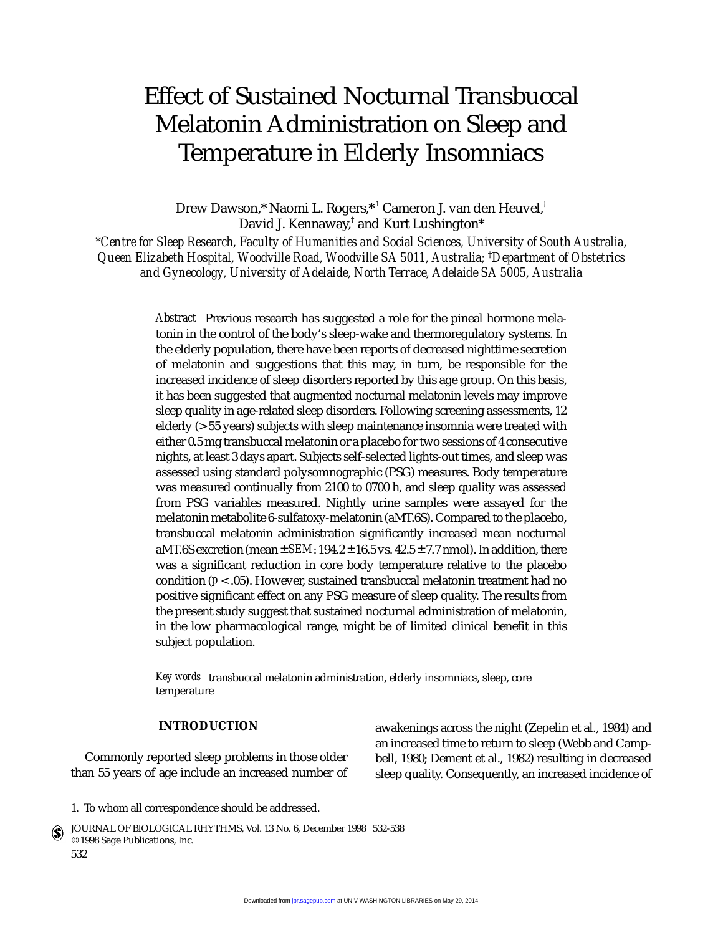# Effect of Sustained Nocturnal Transbuccal Melatonin Administration on Sleep and Temperature in Elderly Insomniacs

Drew Dawson,\* Naomi L. Rogers,\*<sup>1</sup> Cameron J. van den Heuvel,<sup>†</sup> David J. Kennaway,<sup>†</sup> and Kurt Lushington\*

*\*Centre for Sleep Research, Faculty of Humanities and Social Sciences, University of South Australia, Queen Elizabeth Hospital, Woodville Road, Woodville SA 5011, Australia;* † *Department of Obstetrics and Gynecology, University of Adelaide, North Terrace, Adelaide SA 5005, Australia*

> *Abstract* Previous research has suggested a role for the pineal hormone melatonin in the control of the body's sleep-wake and thermoregulatory systems. In the elderly population, there have been reports of decreased nighttime secretion of melatonin and suggestions that this may, in turn, be responsible for the increased incidence of sleep disorders reported by this age group. On this basis, it has been suggested that augmented nocturnal melatonin levels may improve sleep quality in age-related sleep disorders. Following screening assessments, 12 elderly (> 55 years) subjects with sleep maintenance insomnia were treated with either 0.5 mg transbuccal melatonin or a placebo for two sessions of 4 consecutive nights, at least 3 days apart. Subjects self-selected lights-out times, and sleep was assessed using standard polysomnographic (PSG) measures. Body temperature was measured continually from 2100 to 0700 h, and sleep quality was assessed from PSG variables measured. Nightly urine samples were assayed for the melatonin metabolite 6-sulfatoxy-melatonin (aMT.6S). Compared to the placebo, transbuccal melatonin administration significantly increased mean nocturnal aMT.6S excretion (mean  $\pm$  *SEM*: 194.2  $\pm$  16.5 vs. 42.5  $\pm$  7.7 nmol). In addition, there was a significant reduction in core body temperature relative to the placebo condition  $(p < .05)$ . However, sustained transbuccal melatonin treatment had no positive significant effect on any PSG measure of sleep quality. The results from the present study suggest that sustained nocturnal administration of melatonin, in the low pharmacological range, might be of limited clinical benefit in this subject population.

*Key words* transbuccal melatonin administration, elderly insomniacs, sleep, core temperature

# **INTRODUCTION**

Commonly reported sleep problems in those older than 55 years of age include an increased number of

awakenings across the night (Zepelin et al., 1984) and an increased time to return to sleep (Webb and Campbell, 1980; Dement et al., 1982) resulting in decreased sleep quality. Consequently, an increased incidence of

<sup>1.</sup> To whom all correspondence should be addressed.

JOURNAL OF BIOLOGICAL RHYTHMS, Vol. 13 No. 6, December 1998 532-538 **S** © 1998 Sage Publications, Inc. 532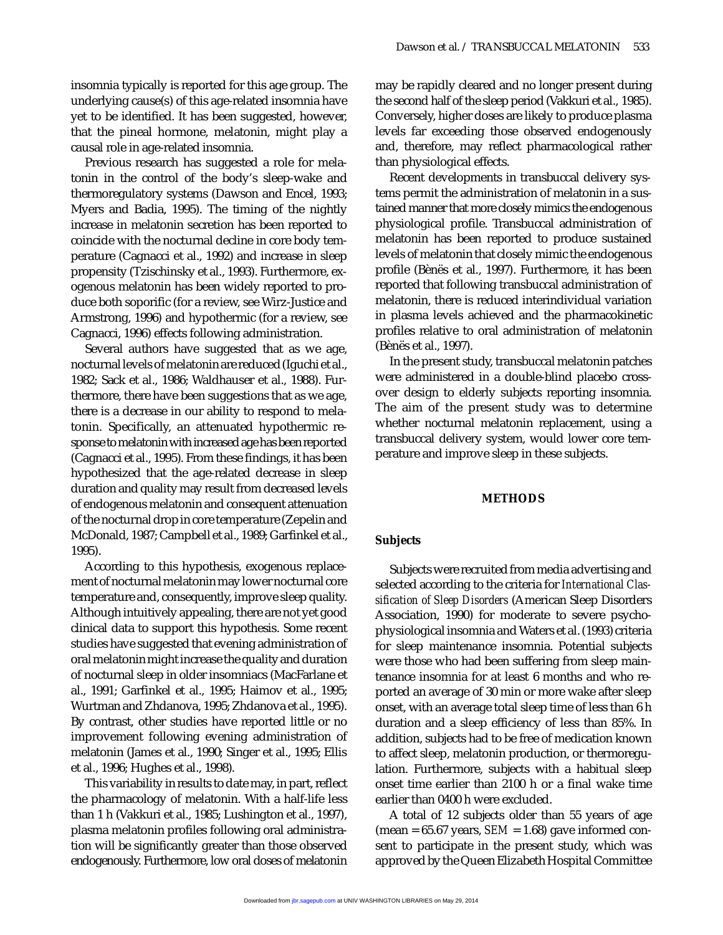insomnia typically is reported for this age group. The underlying cause(s) of this age-related insomnia have yet to be identified. It has been suggested, however, that the pineal hormone, melatonin, might play a causal role in age-related insomnia.

Previous research has suggested a role for melatonin in the control of the body's sleep-wake and thermoregulatory systems (Dawson and Encel, 1993; Myers and Badia, 1995). The timing of the nightly increase in melatonin secretion has been reported to coincide with the nocturnal decline in core body temperature (Cagnacci et al., 1992) and increase in sleep propensity (Tzischinsky et al., 1993). Furthermore, exogenous melatonin has been widely reported to produce both soporific (for a review, see Wirz-Justice and Armstrong, 1996) and hypothermic (for a review, see Cagnacci, 1996) effects following administration.

Several authors have suggested that as we age, nocturnal levels of melatonin are reduced (Iguchi et al., 1982; Sack et al., 1986; Waldhauser et al., 1988). Furthermore, there have been suggestions that as we age, there is a decrease in our ability to respond to melatonin. Specifically, an attenuated hypothermic response to melatonin with increased age has been reported (Cagnacci et al., 1995). From these findings, it has been hypothesized that the age-related decrease in sleep duration and quality may result from decreased levels of endogenous melatonin and consequent attenuation of the nocturnal drop in core temperature (Zepelin and McDonald, 1987; Campbell et al., 1989; Garfinkel et al., 1995).

According to this hypothesis, exogenous replacement of nocturnal melatonin may lower nocturnal core temperature and, consequently, improve sleep quality. Although intuitively appealing, there are not yet good clinical data to support this hypothesis. Some recent studies have suggested that evening administration of oral melatonin might increase the quality and duration of nocturnal sleep in older insomniacs (MacFarlane et al., 1991; Garfinkel et al., 1995; Haimov et al., 1995; Wurtman and Zhdanova, 1995; Zhdanova et al., 1995). By contrast, other studies have reported little or no improvement following evening administration of melatonin (James et al., 1990; Singer et al., 1995; Ellis et al., 1996; Hughes et al., 1998).

This variability in results to date may, in part, reflect the pharmacology of melatonin. With a half-life less than 1 h (Vakkuri et al., 1985; Lushington et al., 1997), plasma melatonin profiles following oral administration will be significantly greater than those observed endogenously. Furthermore, low oral doses of melatonin

may be rapidly cleared and no longer present during the second half of the sleep period (Vakkuri et al., 1985). Conversely, higher doses are likely to produce plasma levels far exceeding those observed endogenously and, therefore, may reflect pharmacological rather than physiological effects.

Recent developments in transbuccal delivery systems permit the administration of melatonin in a sustained manner that more closely mimics the endogenous physiological profile. Transbuccal administration of melatonin has been reported to produce sustained levels of melatonin that closely mimic the endogenous profile (Bènës et al., 1997). Furthermore, it has been reported that following transbuccal administration of melatonin, there is reduced interindividual variation in plasma levels achieved and the pharmacokinetic profiles relative to oral administration of melatonin (Bènës et al., 1997).

In the present study, transbuccal melatonin patches were administered in a double-blind placebo crossover design to elderly subjects reporting insomnia. The aim of the present study was to determine whether nocturnal melatonin replacement, using a transbuccal delivery system, would lower core temperature and improve sleep in these subjects.

#### **METHODS**

## **Subjects**

Subjects were recruited from media advertising and selected according to the criteria for *International Classification of Sleep Disorders* (American Sleep Disorders Association, 1990) for moderate to severe psychophysiological insomnia and Waters et al. (1993) criteria for sleep maintenance insomnia. Potential subjects were those who had been suffering from sleep maintenance insomnia for at least 6 months and who reported an average of 30 min or more wake after sleep onset, with an average total sleep time of less than 6 h duration and a sleep efficiency of less than 85%. In addition, subjects had to be free of medication known to affect sleep, melatonin production, or thermoregulation. Furthermore, subjects with a habitual sleep onset time earlier than 2100 h or a final wake time earlier than 0400 h were excluded.

A total of 12 subjects older than 55 years of age (mean =  $65.67$  years,  $SEM = 1.68$ ) gave informed consent to participate in the present study, which was approved by the Queen Elizabeth Hospital Committee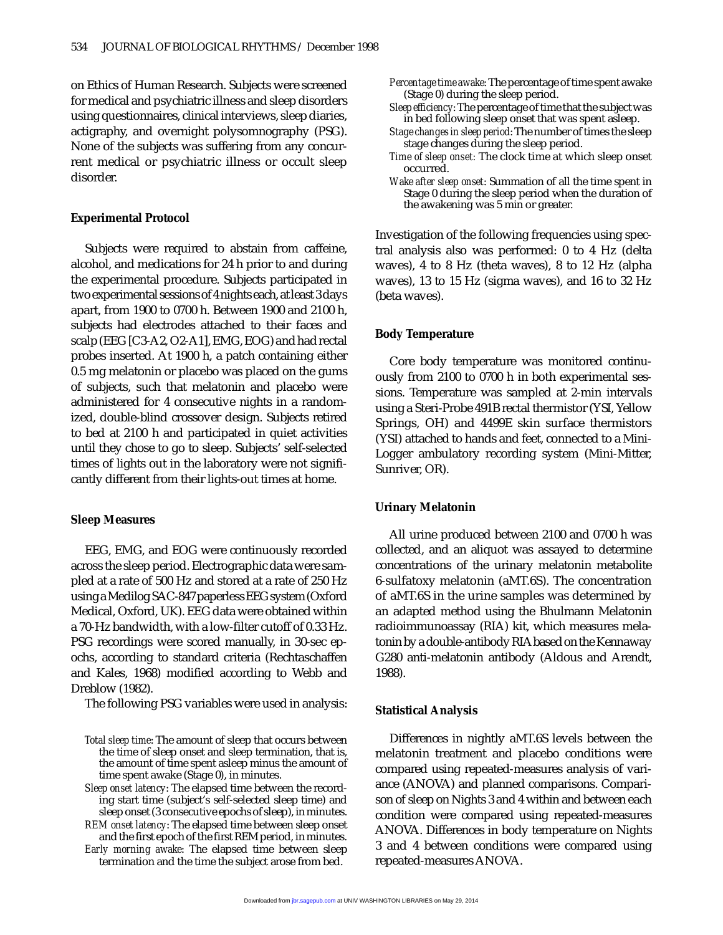on Ethics of Human Research. Subjects were screened for medical and psychiatric illness and sleep disorders using questionnaires, clinical interviews, sleep diaries, actigraphy, and overnight polysomnography (PSG). None of the subjects was suffering from any concurrent medical or psychiatric illness or occult sleep disorder.

## **Experimental Protocol**

Subjects were required to abstain from caffeine, alcohol, and medications for 24 h prior to and during the experimental procedure. Subjects participated in two experimental sessions of 4 nights each, at least 3 days apart, from 1900 to 0700 h. Between 1900 and 2100 h, subjects had electrodes attached to their faces and scalp (EEG [C3-A2, O2-A1], EMG, EOG) and had rectal probes inserted. At 1900 h, a patch containing either 0.5 mg melatonin or placebo was placed on the gums of subjects, such that melatonin and placebo were administered for 4 consecutive nights in a randomized, double-blind crossover design. Subjects retired to bed at 2100 h and participated in quiet activities until they chose to go to sleep. Subjects' self-selected times of lights out in the laboratory were not significantly different from their lights-out times at home.

#### **Sleep Measures**

EEG, EMG, and EOG were continuously recorded across the sleep period. Electrographic data were sampled at a rate of 500 Hz and stored at a rate of 250 Hz using a Medilog SAC-847 paperless EEG system (Oxford Medical, Oxford, UK). EEG data were obtained within a 70-Hz bandwidth, with a low-filter cutoff of 0.33 Hz. PSG recordings were scored manually, in 30-sec epochs, according to standard criteria (Rechtaschaffen and Kales, 1968) modified according to Webb and Dreblow (1982).

The following PSG variables were used in analysis:

termination and the time the subject arose from bed.

- *Percentage time awake*: The percentage of time spent awake (Stage 0) during the sleep period.
- *Sleep efficiency*: The percentage of time that the subject was in bed following sleep onset that was spent asleep.
- *Stage changes in sleep period*: The number of times the sleep stage changes during the sleep period.
- *Time of sleep onset:* The clock time at which sleep onset occurred.
- *Wake after sleep onset*: Summation of all the time spent in Stage 0 during the sleep period when the duration of the awakening was 5 min or greater.

Investigation of the following frequencies using spectral analysis also was performed: 0 to 4 Hz (delta waves), 4 to 8 Hz (theta waves), 8 to 12 Hz (alpha waves), 13 to 15 Hz (sigma waves), and 16 to 32 Hz (beta waves).

#### **Body Temperature**

Core body temperature was monitored continuously from 2100 to 0700 h in both experimental sessions. Temperature was sampled at 2-min intervals using a Steri-Probe 491B rectal thermistor (YSI, Yellow Springs, OH) and 4499E skin surface thermistors (YSI) attached to hands and feet, connected to a Mini-Logger ambulatory recording system (Mini-Mitter, Sunriver, OR).

#### **Urinary Melatonin**

All urine produced between 2100 and 0700 h was collected, and an aliquot was assayed to determine concentrations of the urinary melatonin metabolite 6-sulfatoxy melatonin (aMT.6S). The concentration of aMT.6S in the urine samples was determined by an adapted method using the Bhulmann Melatonin radioimmunoassay (RIA) kit, which measures melatonin by a double-antibody RIA based on the Kennaway G280 anti-melatonin antibody (Aldous and Arendt, 1988).

#### **Statistical Analysis**

Differences in nightly aMT.6S levels between the melatonin treatment and placebo conditions were compared using repeated-measures analysis of variance (ANOVA) and planned comparisons. Comparison of sleep on Nights 3 and 4 within and between each condition were compared using repeated-measures ANOVA. Differences in body temperature on Nights 3 and 4 between conditions were compared using repeated-measures ANOVA.

*Total sleep time*: The amount of sleep that occurs between the time of sleep onset and sleep termination, that is, the amount of time spent asleep minus the amount of time spent awake (Stage 0), in minutes.

*Sleep onset latency*: The elapsed time between the recording start time (subject's self-selected sleep time) and sleep onset (3 consecutive epochs of sleep), in minutes. *REM onset latency*: The elapsed time between sleep onset and the first epoch of the first REM period, in minutes. *Early morning awake*: The elapsed time between sleep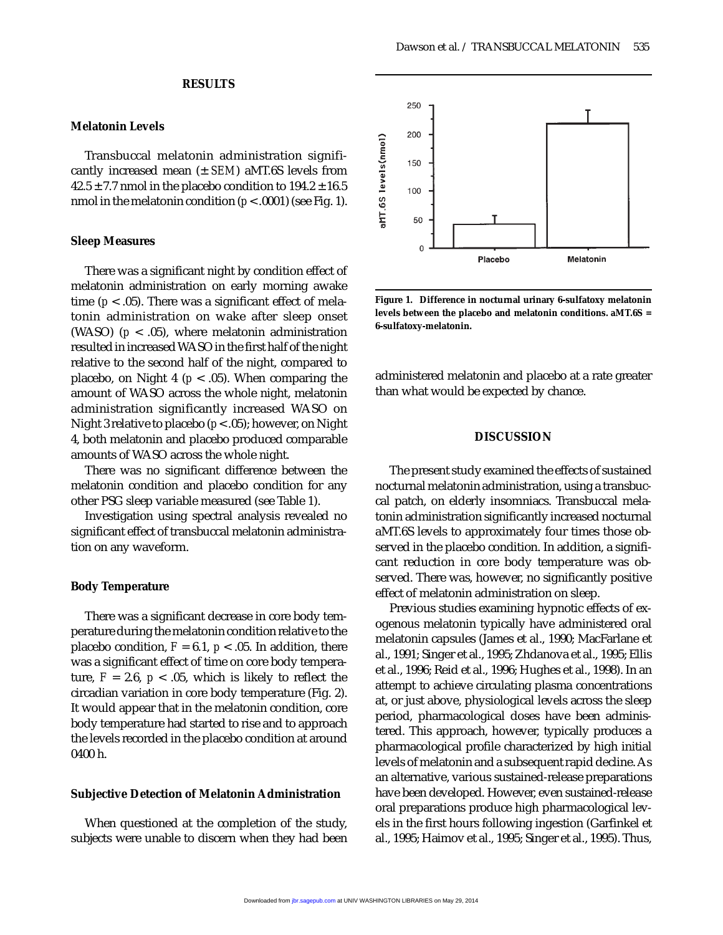## **RESULTS**

## **Melatonin Levels**

Transbuccal melatonin administration significantly increased mean (± *SEM*) aMT.6S levels from  $42.5 \pm 7.7$  nmol in the placebo condition to  $194.2 \pm 16.5$ nmol in the melatonin condition ( $p < .0001$ ) (see Fig. 1).

## **Sleep Measures**

There was a significant night by condition effect of melatonin administration on early morning awake time ( $p < .05$ ). There was a significant effect of melatonin administration on wake after sleep onset (WASO) (*p* < .05), where melatonin administration resulted in increased WASO in the first half of the night relative to the second half of the night, compared to placebo, on Night 4 ( $p < .05$ ). When comparing the amount of WASO across the whole night, melatonin administration significantly increased WASO on Night 3 relative to placebo (*p* < .05); however, on Night 4, both melatonin and placebo produced comparable amounts of WASO across the whole night.

There was no significant difference between the melatonin condition and placebo condition for any other PSG sleep variable measured (see Table 1).

Investigation using spectral analysis revealed no significant effect of transbuccal melatonin administration on any waveform.

## **Body Temperature**

There was a significant decrease in core body temperature during the melatonin condition relative to the placebo condition,  $F = 6.1$ ,  $p < .05$ . In addition, there was a significant effect of time on core body temperature,  $F = 2.6$ ,  $p < .05$ , which is likely to reflect the circadian variation in core body temperature (Fig. 2). It would appear that in the melatonin condition, core body temperature had started to rise and to approach the levels recorded in the placebo condition at around 0400 h.

#### **Subjective Detection of Melatonin Administration**

When questioned at the completion of the study, subjects were unable to discern when they had been



**Figure 1. Difference in nocturnal urinary 6-sulfatoxy melatonin levels between the placebo and melatonin conditions. aMT.6S = 6-sulfatoxy-melatonin.**

administered melatonin and placebo at a rate greater than what would be expected by chance.

## **DISCUSSION**

The present study examined the effects of sustained nocturnal melatonin administration, using a transbuccal patch, on elderly insomniacs. Transbuccal melatonin administration significantly increased nocturnal aMT.6S levels to approximately four times those observed in the placebo condition. In addition, a significant reduction in core body temperature was observed. There was, however, no significantly positive effect of melatonin administration on sleep.

Previous studies examining hypnotic effects of exogenous melatonin typically have administered oral melatonin capsules (James et al., 1990; MacFarlane et al., 1991; Singer et al., 1995; Zhdanova et al., 1995; Ellis et al., 1996; Reid et al., 1996; Hughes et al., 1998). In an attempt to achieve circulating plasma concentrations at, or just above, physiological levels across the sleep period, pharmacological doses have been administered. This approach, however, typically produces a pharmacological profile characterized by high initial levels of melatonin and a subsequent rapid decline. As an alternative, various sustained-release preparations have been developed. However, even sustained-release oral preparations produce high pharmacological levels in the first hours following ingestion (Garfinkel et al., 1995; Haimov et al., 1995; Singer et al., 1995). Thus,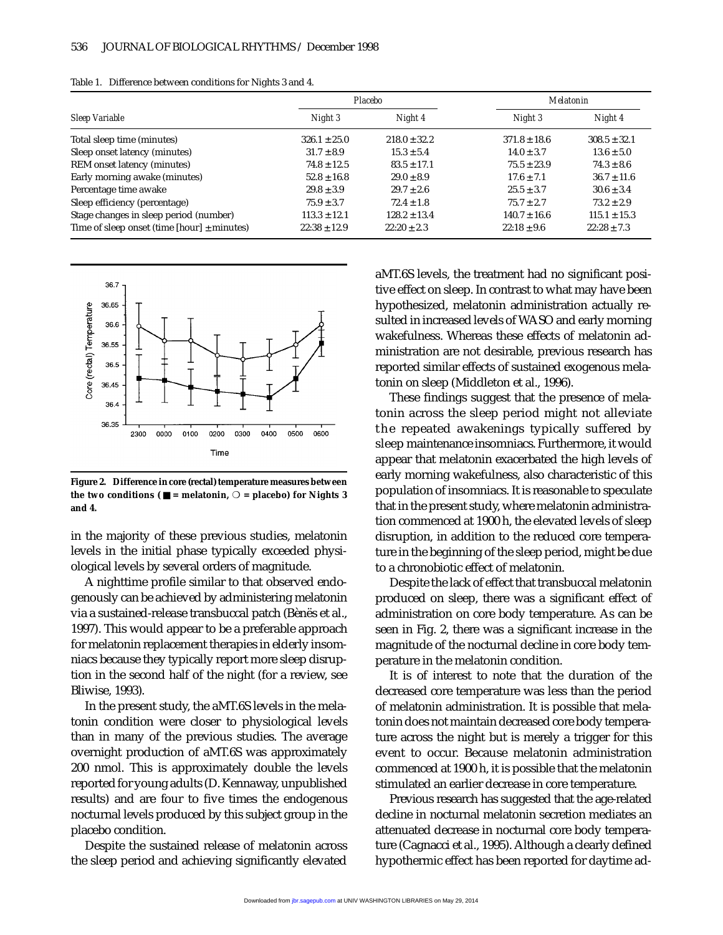| Sleep Variable                                   | Placebo          |                  | <b>Melatonin</b> |                  |
|--------------------------------------------------|------------------|------------------|------------------|------------------|
|                                                  | Night 3          | Night 4          | Night 3          | Night 4          |
| Total sleep time (minutes)                       | $326.1 \pm 25.0$ | $218.0 \pm 32.2$ | $371.8 \pm 18.6$ | $308.5 \pm 32.1$ |
| Sleep onset latency (minutes)                    | $31.7 \pm 8.9$   | $15.3 \pm 5.4$   | $14.0 \pm 3.7$   | $13.6 \pm 5.0$   |
| REM onset latency (minutes)                      | $74.8 \pm 12.5$  | $83.5 \pm 17.1$  | $75.5 \pm 23.9$  | $74.3 \pm 8.6$   |
| Early morning awake (minutes)                    | $52.8 \pm 16.8$  | $29.0 \pm 8.9$   | $17.6 + 7.1$     | $36.7 \pm 11.6$  |
| Percentage time awake                            | $29.8 \pm 3.9$   | $29.7 \pm 2.6$   | $25.5 + 3.7$     | $30.6 \pm 3.4$   |
| Sleep efficiency (percentage)                    | $75.9 \pm 3.7$   | $72.4 \pm 1.8$   | $75.7 \pm 2.7$   | $73.2 \pm 2.9$   |
| Stage changes in sleep period (number)           | $113.3 + 12.1$   | $128.2 \pm 13.4$ | $140.7 \pm 16.6$ | $115.1 \pm 15.3$ |
| Time of sleep onset (time $[hour] \pm minutes$ ) | $22:38 \pm 12.9$ | $22:20 \pm 2.3$  | $22:18 \pm 9.6$  | $22:28 \pm 7.3$  |

Table 1. Difference between conditions for Nights 3 and 4.



**Figure 2. Difference in core (rectal) temperature measures between the two conditions (■** = melatonin,  $\bigcirc$  = placebo) for Nights 3 **and 4.**

in the majority of these previous studies, melatonin levels in the initial phase typically exceeded physiological levels by several orders of magnitude.

A nighttime profile similar to that observed endogenously can be achieved by administering melatonin via a sustained-release transbuccal patch (Bènës et al., 1997). This would appear to be a preferable approach for melatonin replacement therapies in elderly insomniacs because they typically report more sleep disruption in the second half of the night (for a review, see Bliwise, 1993).

In the present study, the aMT.6S levels in the melatonin condition were closer to physiological levels than in many of the previous studies. The average overnight production of aMT.6S was approximately 200 nmol. This is approximately double the levels reported for young adults (D. Kennaway, unpublished results) and are four to five times the endogenous nocturnal levels produced by this subject group in the placebo condition.

Despite the sustained release of melatonin across the sleep period and achieving significantly elevated

aMT.6S levels, the treatment had no significant positive effect on sleep. In contrast to what may have been hypothesized, melatonin administration actually resulted in increased levels of WASO and early morning wakefulness. Whereas these effects of melatonin administration are not desirable, previous research has reported similar effects of sustained exogenous melatonin on sleep (Middleton et al., 1996).

These findings suggest that the presence of melatonin across the sleep period might not alleviate the repeated awakenings typically suffered by sleep maintenance insomniacs. Furthermore, it would appear that melatonin exacerbated the high levels of early morning wakefulness, also characteristic of this population of insomniacs. It is reasonable to speculate that in the present study, where melatonin administration commenced at 1900 h, the elevated levels of sleep disruption, in addition to the reduced core temperature in the beginning of the sleep period, might be due to a chronobiotic effect of melatonin.

Despite the lack of effect that transbuccal melatonin produced on sleep, there was a significant effect of administration on core body temperature. As can be seen in Fig. 2, there was a significant increase in the magnitude of the nocturnal decline in core body temperature in the melatonin condition.

It is of interest to note that the duration of the decreased core temperature was less than the period of melatonin administration. It is possible that melatonin does not maintain decreased core body temperature across the night but is merely a trigger for this event to occur. Because melatonin administration commenced at 1900 h, it is possible that the melatonin stimulated an earlier decrease in core temperature.

Previous research has suggested that the age-related decline in nocturnal melatonin secretion mediates an attenuated decrease in nocturnal core body temperature (Cagnacci et al., 1995). Although a clearly defined hypothermic effect has been reported for daytime ad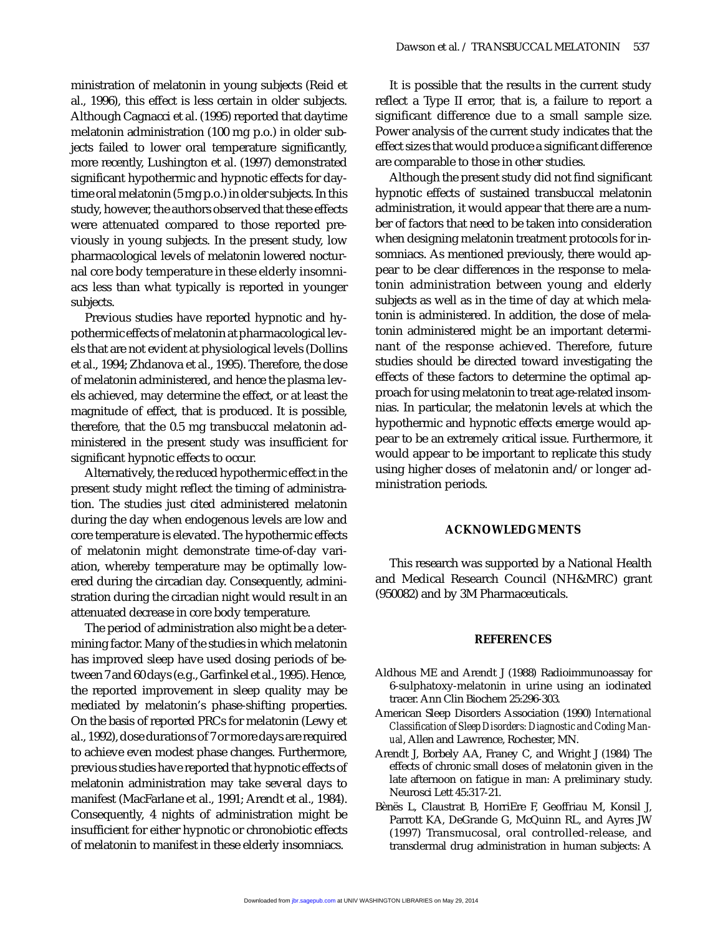ministration of melatonin in young subjects (Reid et al., 1996), this effect is less certain in older subjects. Although Cagnacci et al. (1995) reported that daytime melatonin administration (100 mg p.o.) in older subjects failed to lower oral temperature significantly, more recently, Lushington et al. (1997) demonstrated significant hypothermic and hypnotic effects for daytime oral melatonin (5 mg p.o.) in older subjects. In this study, however, the authors observed that these effects were attenuated compared to those reported previously in young subjects. In the present study, low pharmacological levels of melatonin lowered nocturnal core body temperature in these elderly insomniacs less than what typically is reported in younger subjects.

Previous studies have reported hypnotic and hypothermic effects of melatonin at pharmacological levels that are not evident at physiological levels (Dollins et al., 1994; Zhdanova et al., 1995). Therefore, the dose of melatonin administered, and hence the plasma levels achieved, may determine the effect, or at least the magnitude of effect, that is produced. It is possible, therefore, that the 0.5 mg transbuccal melatonin administered in the present study was insufficient for significant hypnotic effects to occur.

Alternatively, the reduced hypothermic effect in the present study might reflect the timing of administration. The studies just cited administered melatonin during the day when endogenous levels are low and core temperature is elevated. The hypothermic effects of melatonin might demonstrate time-of-day variation, whereby temperature may be optimally lowered during the circadian day. Consequently, administration during the circadian night would result in an attenuated decrease in core body temperature.

The period of administration also might be a determining factor. Many of the studies in which melatonin has improved sleep have used dosing periods of between 7 and 60 days (e.g., Garfinkel et al., 1995). Hence, the reported improvement in sleep quality may be mediated by melatonin's phase-shifting properties. On the basis of reported PRCs for melatonin (Lewy et al., 1992), dose durations of 7 or more days are required to achieve even modest phase changes. Furthermore, previous studies have reported that hypnotic effects of melatonin administration may take several days to manifest (MacFarlane et al., 1991; Arendt et al., 1984). Consequently, 4 nights of administration might be insufficient for either hypnotic or chronobiotic effects of melatonin to manifest in these elderly insomniacs.

It is possible that the results in the current study reflect a Type II error, that is, a failure to report a significant difference due to a small sample size. Power analysis of the current study indicates that the effect sizes that would produce a significant difference are comparable to those in other studies.

Although the present study did not find significant hypnotic effects of sustained transbuccal melatonin administration, it would appear that there are a number of factors that need to be taken into consideration when designing melatonin treatment protocols for insomniacs. As mentioned previously, there would appear to be clear differences in the response to melatonin administration between young and elderly subjects as well as in the time of day at which melatonin is administered. In addition, the dose of melatonin administered might be an important determinant of the response achieved. Therefore, future studies should be directed toward investigating the effects of these factors to determine the optimal approach for using melatonin to treat age-related insomnias. In particular, the melatonin levels at which the hypothermic and hypnotic effects emerge would appear to be an extremely critical issue. Furthermore, it would appear to be important to replicate this study using higher doses of melatonin and/or longer administration periods.

## **ACKNOWLEDGMENTS**

This research was supported by a National Health and Medical Research Council (NH&MRC) grant (950082) and by 3M Pharmaceuticals.

#### **REFERENCES**

- Aldhous ME and Arendt J (1988) Radioimmunoassay for 6-sulphatoxy-melatonin in urine using an iodinated tracer. Ann Clin Biochem 25:296-303.
- American Sleep Disorders Association (1990) *International Classification of Sleep Disorders: Diagnostic and Coding Manual*, Allen and Lawrence, Rochester, MN.
- Arendt J, Borbely AA, Franey C, and Wright J (1984) The effects of chronic small doses of melatonin given in the late afternoon on fatigue in man: A preliminary study. Neurosci Lett 45:317-21.
- Bènës L, Claustrat B, HorriEre F, Geoffriau M, Konsil J, Parrott KA, DeGrande G, McQuinn RL, and Ayres JW (1997) Transmucosal, oral controlled-release, and transdermal drug administration in human subjects: A